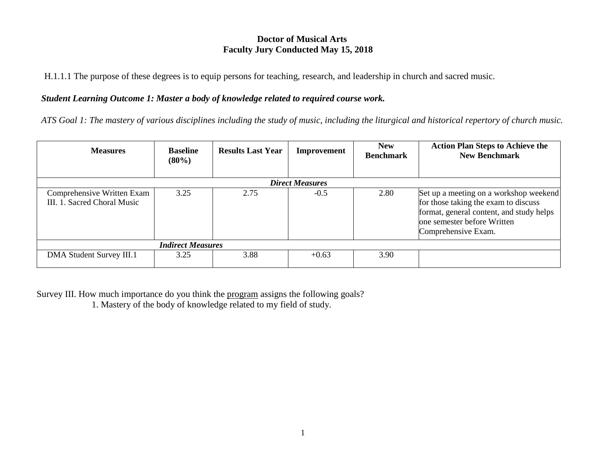# **Doctor of Musical Arts Faculty Jury Conducted May 15, 2018**

H.1.1.1 The purpose of these degrees is to equip persons for teaching, research, and leadership in church and sacred music.

# *Student Learning Outcome 1: Master a body of knowledge related to required course work.*

*ATS Goal 1: The mastery of various disciplines including the study of music, including the liturgical and historical repertory of church music.*

| <b>Measures</b>                                           | <b>Baseline</b><br>$(80\%)$ | <b>Results Last Year</b> | <b>Improvement</b> | <b>New</b><br><b>Benchmark</b> | <b>Action Plan Steps to Achieve the</b><br><b>New Benchmark</b>                                                                                                                  |  |  |
|-----------------------------------------------------------|-----------------------------|--------------------------|--------------------|--------------------------------|----------------------------------------------------------------------------------------------------------------------------------------------------------------------------------|--|--|
| <b>Direct Measures</b>                                    |                             |                          |                    |                                |                                                                                                                                                                                  |  |  |
| Comprehensive Written Exam<br>III. 1. Sacred Choral Music | 3.25                        | 2.75                     | $-0.5$             | 2.80                           | Set up a meeting on a workshop weekend<br>for those taking the exam to discuss<br>format, general content, and study helps<br>one semester before Written<br>Comprehensive Exam. |  |  |
| <b>Indirect Measures</b>                                  |                             |                          |                    |                                |                                                                                                                                                                                  |  |  |
| DMA Student Survey III.1                                  | 3.25                        | 3.88                     | $+0.63$            | 3.90                           |                                                                                                                                                                                  |  |  |

Survey III. How much importance do you think the program assigns the following goals? 1. Mastery of the body of knowledge related to my field of study.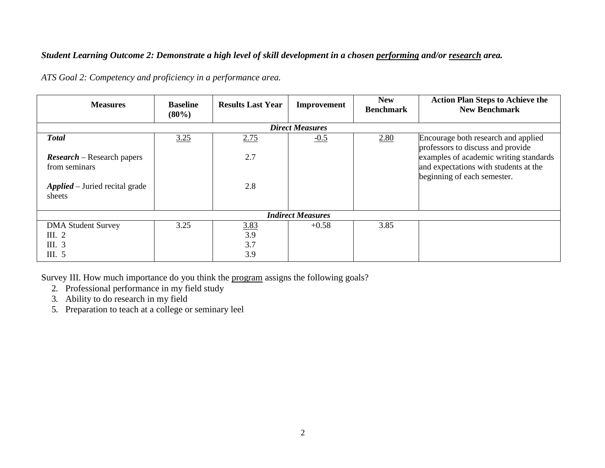# *Student Learning Outcome 2: Demonstrate a high level of skill development in a chosen performing and/or research area.*

| <b>Measures</b>                                           | <b>Baseline</b><br>$(80\%)$ | <b>Results Last Year</b>         | Improvement | <b>New</b><br><b>Benchmark</b> | <b>Action Plan Steps to Achieve the</b><br><b>New Benchmark</b>                                                |  |  |
|-----------------------------------------------------------|-----------------------------|----------------------------------|-------------|--------------------------------|----------------------------------------------------------------------------------------------------------------|--|--|
| <b>Direct Measures</b>                                    |                             |                                  |             |                                |                                                                                                                |  |  |
| <b>Total</b>                                              | 3.25                        | 2.75                             | $-0.5$      | 2.80                           | Encourage both research and applied<br>professors to discuss and provide                                       |  |  |
| $\textit{Research}$ - Research papers<br>from seminars    |                             | 2.7                              |             |                                | examples of academic writing standards<br>and expectations with students at the<br>beginning of each semester. |  |  |
| <b>Applied</b> – Juried recital grade<br>sheets           |                             | 2.8                              |             |                                |                                                                                                                |  |  |
| <b>Indirect Measures</b>                                  |                             |                                  |             |                                |                                                                                                                |  |  |
| <b>DMA Student Survey</b><br>III. $2$<br>III. 3<br>III. 5 | 3.25                        | <u>3.83</u><br>3.9<br>3.7<br>3.9 | $+0.58$     | 3.85                           |                                                                                                                |  |  |

*ATS Goal 2: Competency and proficiency in a performance area.*

Survey III. How much importance do you think the program assigns the following goals?

- 2. Professional performance in my field study
- 3. Ability to do research in my field

5. Preparation to teach at a college or seminary leel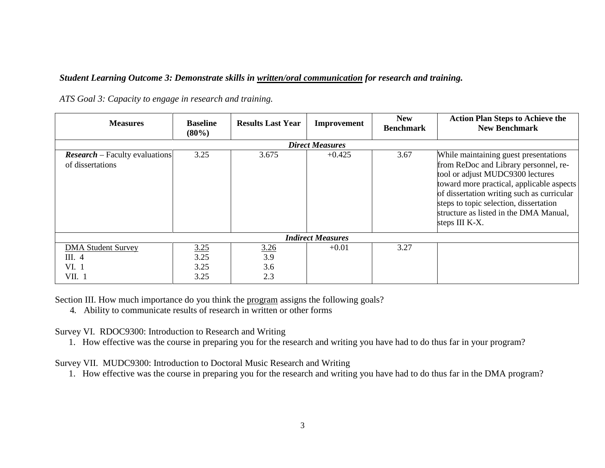#### *Student Learning Outcome 3: Demonstrate skills in written/oral communication for research and training.*

| <b>Measures</b>                                           | <b>Baseline</b><br>$(80\%)$  | <b>Results Last Year</b>         | Improvement | <b>New</b><br><b>Benchmark</b> | <b>Action Plan Steps to Achieve the</b><br><b>New Benchmark</b>                                                                                                                                                                                                                                                     |  |  |
|-----------------------------------------------------------|------------------------------|----------------------------------|-------------|--------------------------------|---------------------------------------------------------------------------------------------------------------------------------------------------------------------------------------------------------------------------------------------------------------------------------------------------------------------|--|--|
| <b>Direct Measures</b>                                    |                              |                                  |             |                                |                                                                                                                                                                                                                                                                                                                     |  |  |
| <b>Research</b> – Faculty evaluations<br>of dissertations | 3.25                         | 3.675                            | $+0.425$    | 3.67                           | While maintaining guest presentations<br>from ReDoc and Library personnel, re-<br>tool or adjust MUDC9300 lectures<br>toward more practical, applicable aspects<br>of dissertation writing such as curricular<br>steps to topic selection, dissertation<br>structure as listed in the DMA Manual,<br>steps III K-X. |  |  |
| <b>Indirect Measures</b>                                  |                              |                                  |             |                                |                                                                                                                                                                                                                                                                                                                     |  |  |
| <b>DMA Student Survey</b><br>III. $4$<br>VI. 1<br>VII. 1  | 3.25<br>3.25<br>3.25<br>3.25 | <u>3.26</u><br>3.9<br>3.6<br>2.3 | $+0.01$     | 3.27                           |                                                                                                                                                                                                                                                                                                                     |  |  |

*ATS Goal 3: Capacity to engage in research and training.*

Section III. How much importance do you think the program assigns the following goals?

4. Ability to communicate results of research in written or other forms

Survey VI. RDOC9300: Introduction to Research and Writing

1. How effective was the course in preparing you for the research and writing you have had to do thus far in your program?

Survey VII. MUDC9300: Introduction to Doctoral Music Research and Writing

1. How effective was the course in preparing you for the research and writing you have had to do thus far in the DMA program?